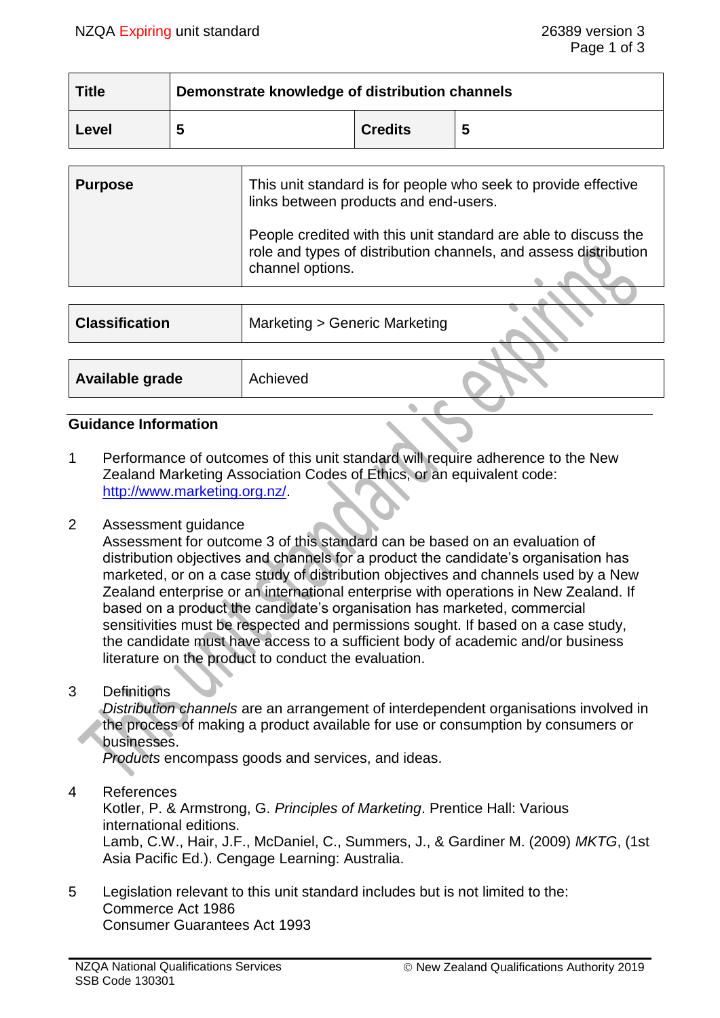| <b>Title</b> | Demonstrate knowledge of distribution channels |                |   |
|--------------|------------------------------------------------|----------------|---|
| Level        | 5                                              | <b>Credits</b> | 5 |

| <b>Purpose</b> | This unit standard is for people who seek to provide effective<br>links between products and end-users.                                                 |
|----------------|---------------------------------------------------------------------------------------------------------------------------------------------------------|
|                | People credited with this unit standard are able to discuss the<br>role and types of distribution channels, and assess distribution<br>channel options. |
|                |                                                                                                                                                         |

| <b>Classification</b> | Marketing > Generic Marketing |  |
|-----------------------|-------------------------------|--|
|                       |                               |  |
| Available grade       | Achieved                      |  |
|                       |                               |  |

#### **Guidance Information**

1 Performance of outcomes of this unit standard will require adherence to the New Zealand Marketing Association Codes of Ethics, or an equivalent code: [http://www.marketing.org.nz/.](http://www.marketing.org.nz/)

#### 2 Assessment guidance

Assessment for outcome 3 of this standard can be based on an evaluation of distribution objectives and channels for a product the candidate's organisation has marketed, or on a case study of distribution objectives and channels used by a New Zealand enterprise or an international enterprise with operations in New Zealand. If based on a product the candidate's organisation has marketed, commercial sensitivities must be respected and permissions sought. If based on a case study, the candidate must have access to a sufficient body of academic and/or business literature on the product to conduct the evaluation.

3 Definitions

*Distribution channels* are an arrangement of interdependent organisations involved in the process of making a product available for use or consumption by consumers or businesses.

*Products* encompass goods and services, and ideas.

4 References

Kotler, P. & Armstrong, G. *Principles of Marketing*. Prentice Hall: Various international editions. Lamb, C.W., Hair, J.F., McDaniel, C., Summers, J., & Gardiner M. (2009) *MKTG*, (1st Asia Pacific Ed.). Cengage Learning: Australia.

5 Legislation relevant to this unit standard includes but is not limited to the: Commerce Act 1986 Consumer Guarantees Act 1993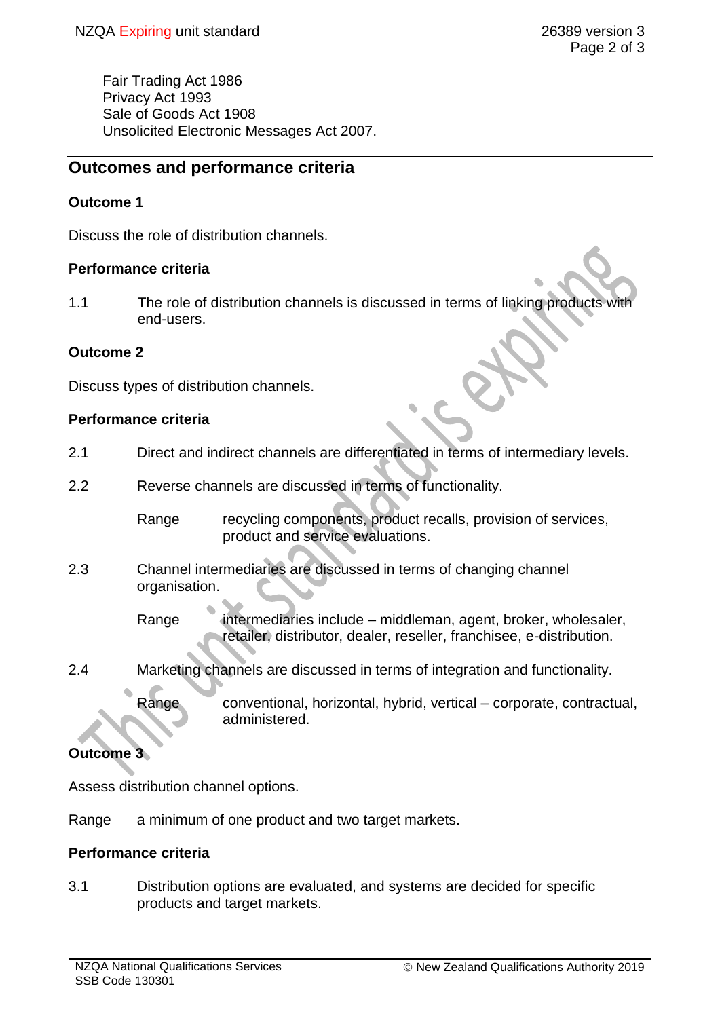Fair Trading Act 1986 Privacy Act 1993 Sale of Goods Act 1908 Unsolicited Electronic Messages Act 2007.

# **Outcomes and performance criteria**

# **Outcome 1**

Discuss the role of distribution channels.

## **Performance criteria**

1.1 The role of distribution channels is discussed in terms of linking products end-users.

## **Outcome 2**

Discuss types of distribution channels.

## **Performance criteria**

- 2.1 Direct and indirect channels are differentiated in terms of intermediary levels.
- 2.2 Reverse channels are discussed in terms of functionality.

Range recycling components, product recalls, provision of services, product and service evaluations.

2.3 Channel intermediaries are discussed in terms of changing channel organisation.

> Range intermediaries include – middleman, agent, broker, wholesaler, retailer, distributor, dealer, reseller, franchisee, e-distribution.

2.4 Marketing channels are discussed in terms of integration and functionality.

Range conventional, horizontal, hybrid, vertical – corporate, contractual, administered.

## **Outcome 3**

Assess distribution channel options.

Range a minimum of one product and two target markets.

#### **Performance criteria**

3.1 Distribution options are evaluated, and systems are decided for specific products and target markets.